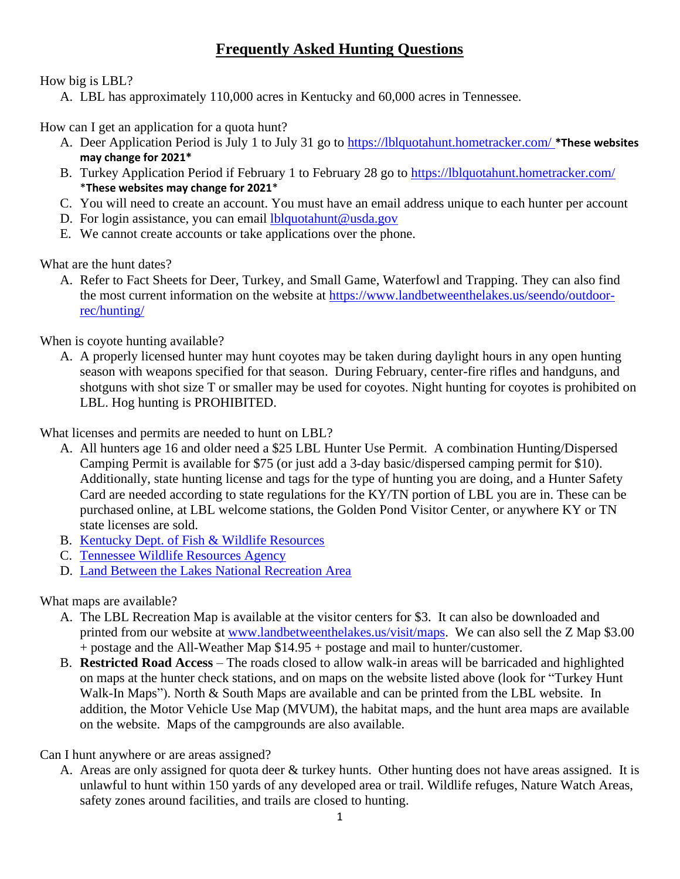## **Frequently Asked Hunting Questions**

How big is LBL?

A. LBL has approximately 110,000 acres in Kentucky and 60,000 acres in Tennessee.

How can I get an application for a quota hunt?

- A. Deer Application Period is July 1 to July 31 go to<https://lblquotahunt.hometracker.com/> **\*These websites may change for 2021\***
- B. Turkey Application Period if February 1 to February 28 go to<https://lblquotahunt.hometracker.com/> \***These websites may change for 2021**\*
- C. You will need to create an account. You must have an email address unique to each hunter per account
- D. For login assistance, you can email [lblquotahunt@usda.gov](mailto:lblquotahunt@usda.gov)
- E. We cannot create accounts or take applications over the phone.

What are the hunt dates?

A. Refer to Fact Sheets for Deer, Turkey, and Small Game, Waterfowl and Trapping. They can also find the most current information on the website at [https://www.landbetweenthelakes.us/seendo/outdoor](https://www.landbetweenthelakes.us/seendo/outdoor-rec/hunting/)[rec/hunting/](https://www.landbetweenthelakes.us/seendo/outdoor-rec/hunting/)

When is coyote hunting available?

A. A properly licensed hunter may hunt coyotes may be taken during daylight hours in any open hunting season with weapons specified for that season. During February, center-fire rifles and handguns, and shotguns with shot size T or smaller may be used for coyotes. Night hunting for coyotes is prohibited on LBL. Hog hunting is PROHIBITED.

What licenses and permits are needed to hunt on LBL?

- A. All hunters age 16 and older need a \$25 LBL Hunter Use Permit. A combination Hunting/Dispersed Camping Permit is available for \$75 (or just add a 3-day basic/dispersed camping permit for \$10). Additionally, state hunting license and tags for the type of hunting you are doing, and a Hunter Safety Card are needed according to state regulations for the KY/TN portion of LBL you are in. These can be purchased online, at LBL welcome stations, the Golden Pond Visitor Center, or anywhere KY or TN state licenses are sold.
- B. [Kentucky Dept. of Fish & Wildlife Resources](https://fw.ky.gov/Pages/default.aspx)
- C. [Tennessee Wildlife Resources Agency](https://www.tn.gov/twra)
- D. [Land Between the Lakes National Recreation Area](https://www.landbetweenthelakes.us/seendo/outdoor-rec/hunting/)

What maps are available?

- A. The LBL Recreation Map is available at the visitor centers for \$3. It can also be downloaded and printed from our website at [www.landbetweenthelakes.us/visit/maps.](file:///C:/Users/bcaraker/AppData/Local/Box/Box%20Edit/Documents/mSLOhOJIXkOLu8XyM06iQw==/www.landbetweenthelakes.us/visit/maps) We can also sell the Z Map \$3.00 + postage and the All-Weather Map \$14.95 + postage and mail to hunter/customer.
- B. **Restricted Road Access** The roads closed to allow walk-in areas will be barricaded and highlighted on maps at the hunter check stations, and on maps on the website listed above (look for "Turkey Hunt Walk-In Maps"). North & South Maps are available and can be printed from the LBL website. In addition, the Motor Vehicle Use Map (MVUM), the habitat maps, and the hunt area maps are available on the website. Maps of the campgrounds are also available.

Can I hunt anywhere or are areas assigned?

A. Areas are only assigned for quota deer & turkey hunts. Other hunting does not have areas assigned. It is unlawful to hunt within 150 yards of any developed area or trail. Wildlife refuges, Nature Watch Areas, safety zones around facilities, and trails are closed to hunting.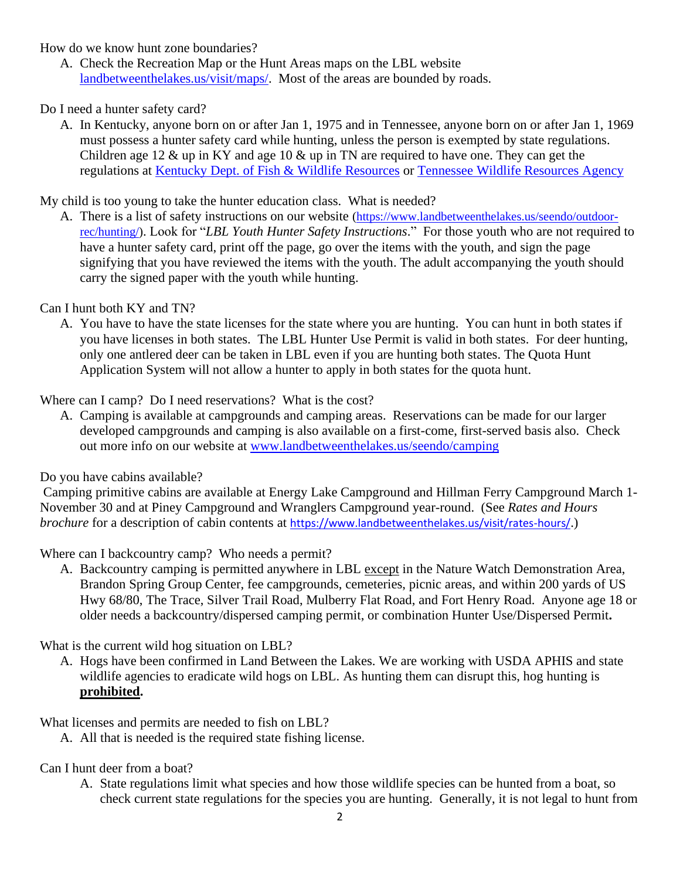How do we know hunt zone boundaries?

A. Check the Recreation Map or the Hunt Areas maps on the LBL website [landbetweenthelakes.us/visit/maps/.](https://www.landbetweenthelakes.us/visit/maps/) Most of the areas are bounded by roads.

Do I need a hunter safety card?

A. In Kentucky, anyone born on or after Jan 1, 1975 and in Tennessee, anyone born on or after Jan 1, 1969 must possess a hunter safety card while hunting, unless the person is exempted by state regulations. Children age 12 & up in KY and age 10 & up in TN are required to have one. They can get the regulations at [Kentucky Dept. of Fish & Wildlife Resources](https://fw.ky.gov/Pages/default.aspx) or [Tennessee Wildlife Resources Agency](https://www.tn.gov/twra)

My child is too young to take the hunter education class. What is needed?

A. There is a list of safety instructions on our website [\(https://www.landbetweenthelakes.us/seendo/outdoor](https://www.landbetweenthelakes.us/seendo/outdoor-rec/hunting/)[rec/hunting/\)](https://www.landbetweenthelakes.us/seendo/outdoor-rec/hunting/). Look for "*LBL Youth Hunter Safety Instructions*." For those youth who are not required to have a hunter safety card, print off the page, go over the items with the youth, and sign the page signifying that you have reviewed the items with the youth. The adult accompanying the youth should carry the signed paper with the youth while hunting.

Can I hunt both KY and TN?

A. You have to have the state licenses for the state where you are hunting. You can hunt in both states if you have licenses in both states. The LBL Hunter Use Permit is valid in both states. For deer hunting, only one antlered deer can be taken in LBL even if you are hunting both states. The Quota Hunt Application System will not allow a hunter to apply in both states for the quota hunt.

Where can I camp? Do I need reservations? What is the cost?

A. Camping is available at campgrounds and camping areas. Reservations can be made for our larger developed campgrounds and camping is also available on a first-come, first-served basis also. Check out more info on our website at [www.landbetweenthelakes.us/seendo/camping](http://www.landbetweenthelakes.us/seendo/camping)

Do you have cabins available?

Camping primitive cabins are available at Energy Lake Campground and Hillman Ferry Campground March 1- November 30 and at Piney Campground and Wranglers Campground year-round. (See *Rates and Hours brochure* for a description of cabin contents at <https://www.landbetweenthelakes.us/visit/rates-hours/>.)

Where can I backcountry camp? Who needs a permit?

A. Backcountry camping is permitted anywhere in LBL except in the Nature Watch Demonstration Area, Brandon Spring Group Center, fee campgrounds, cemeteries, picnic areas, and within 200 yards of US Hwy 68/80, The Trace, Silver Trail Road, Mulberry Flat Road, and Fort Henry Road. Anyone age 18 or older needs a backcountry/dispersed camping permit, or combination Hunter Use/Dispersed Permit**.**

What is the current wild hog situation on LBL?

A. Hogs have been confirmed in Land Between the Lakes. We are working with USDA APHIS and state wildlife agencies to eradicate wild hogs on LBL. As hunting them can disrupt this, hog hunting is **prohibited.**

What licenses and permits are needed to fish on LBL?

A. All that is needed is the required state fishing license.

Can I hunt deer from a boat?

A. State regulations limit what species and how those wildlife species can be hunted from a boat, so check current state regulations for the species you are hunting. Generally, it is not legal to hunt from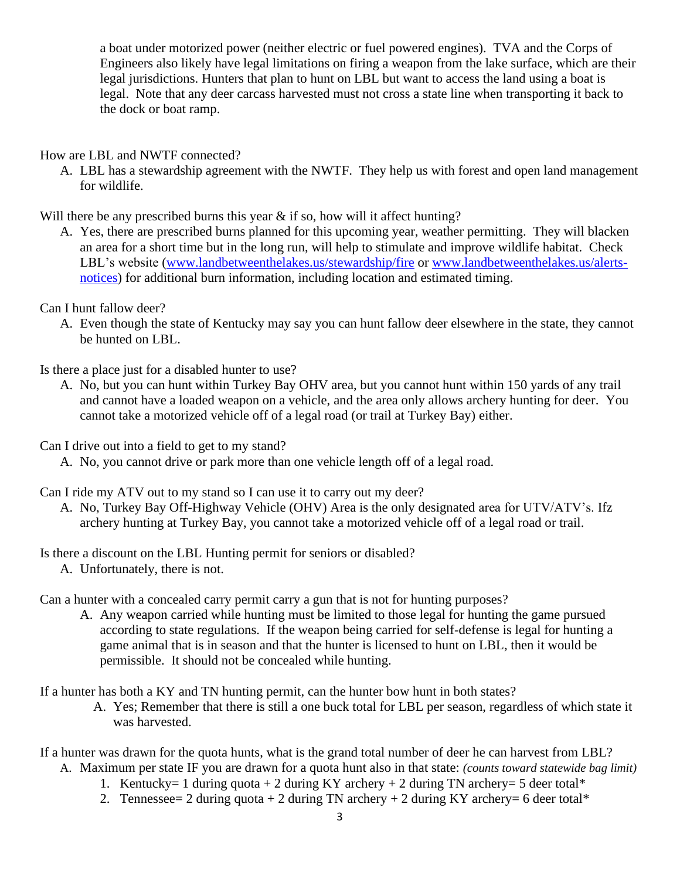a boat under motorized power (neither electric or fuel powered engines). TVA and the Corps of Engineers also likely have legal limitations on firing a weapon from the lake surface, which are their legal jurisdictions. Hunters that plan to hunt on LBL but want to access the land using a boat is legal. Note that any deer carcass harvested must not cross a state line when transporting it back to the dock or boat ramp.

How are LBL and NWTF connected?

A. LBL has a stewardship agreement with the NWTF. They help us with forest and open land management for wildlife.

Will there be any prescribed burns this year  $\&$  if so, how will it affect hunting?

A. Yes, there are prescribed burns planned for this upcoming year, weather permitting. They will blacken an area for a short time but in the long run, will help to stimulate and improve wildlife habitat. Check LBL's website [\(www.landbetweenthelakes.us/stewardship/fire](file:///C:/Users/bcaraker/AppData/Local/Box/Box%20Edit/Documents/mSLOhOJIXkOLu8XyM06iQw==/www.landbetweenthelakes.us/stewardship/fire) or [www.landbetweenthelakes.us/alerts](file:///C:/Users/bcaraker/AppData/Local/Box/Box%20Edit/Documents/mSLOhOJIXkOLu8XyM06iQw==/www.landbetweenthelakes.us/alerts-notices)[notices\)](file:///C:/Users/bcaraker/AppData/Local/Box/Box%20Edit/Documents/mSLOhOJIXkOLu8XyM06iQw==/www.landbetweenthelakes.us/alerts-notices) for additional burn information, including location and estimated timing.

Can I hunt fallow deer?

A. Even though the state of Kentucky may say you can hunt fallow deer elsewhere in the state, they cannot be hunted on LBL.

Is there a place just for a disabled hunter to use?

A. No, but you can hunt within Turkey Bay OHV area, but you cannot hunt within 150 yards of any trail and cannot have a loaded weapon on a vehicle, and the area only allows archery hunting for deer. You cannot take a motorized vehicle off of a legal road (or trail at Turkey Bay) either.

Can I drive out into a field to get to my stand?

A. No, you cannot drive or park more than one vehicle length off of a legal road.

Can I ride my ATV out to my stand so I can use it to carry out my deer?

A. No, Turkey Bay Off-Highway Vehicle (OHV) Area is the only designated area for UTV/ATV's. Ifz archery hunting at Turkey Bay, you cannot take a motorized vehicle off of a legal road or trail.

Is there a discount on the LBL Hunting permit for seniors or disabled?

A. Unfortunately, there is not.

Can a hunter with a concealed carry permit carry a gun that is not for hunting purposes?

A. Any weapon carried while hunting must be limited to those legal for hunting the game pursued according to state regulations. If the weapon being carried for self-defense is legal for hunting a game animal that is in season and that the hunter is licensed to hunt on LBL, then it would be permissible. It should not be concealed while hunting.

If a hunter has both a KY and TN hunting permit, can the hunter bow hunt in both states?

A. Yes; Remember that there is still a one buck total for LBL per season, regardless of which state it was harvested.

If a hunter was drawn for the quota hunts, what is the grand total number of deer he can harvest from LBL?

- A. Maximum per state IF you are drawn for a quota hunt also in that state: *(counts toward statewide bag limit)*
	- 1. Kentucky= 1 during quota + 2 during KY archery + 2 during TN archery= 5 deer total\*
	- 2. Tennessee= 2 during quota + 2 during TN archery + 2 during KY archery= 6 deer total\*